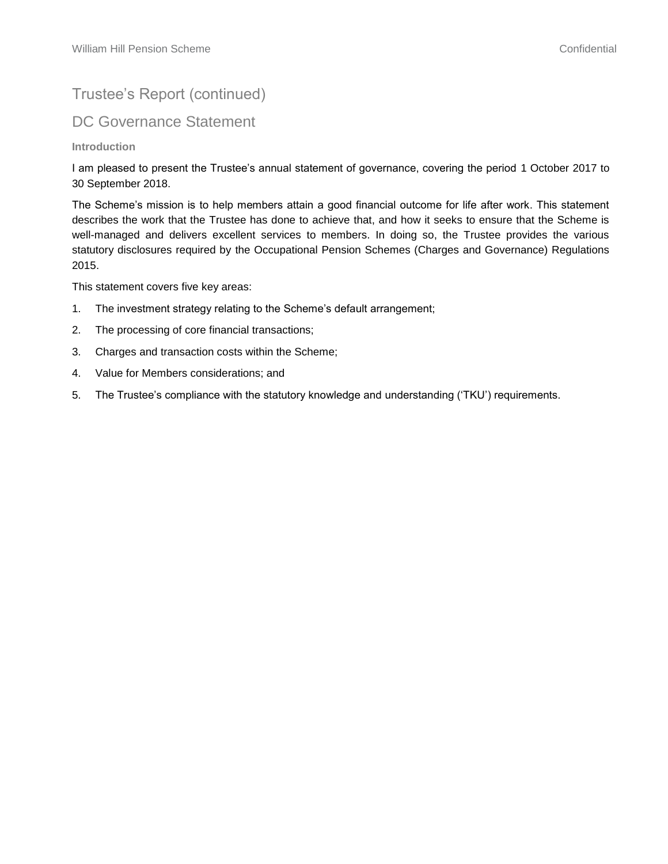## DC Governance Statement

#### **Introduction**

I am pleased to present the Trustee's annual statement of governance, covering the period 1 October 2017 to 30 September 2018.

The Scheme's mission is to help members attain a good financial outcome for life after work. This statement describes the work that the Trustee has done to achieve that, and how it seeks to ensure that the Scheme is well-managed and delivers excellent services to members. In doing so, the Trustee provides the various statutory disclosures required by the Occupational Pension Schemes (Charges and Governance) Regulations 2015.

This statement covers five key areas:

- 1. The investment strategy relating to the Scheme's default arrangement;
- 2. The processing of core financial transactions;
- 3. Charges and transaction costs within the Scheme;
- 4. Value for Members considerations; and
- 5. The Trustee's compliance with the statutory knowledge and understanding ('TKU') requirements.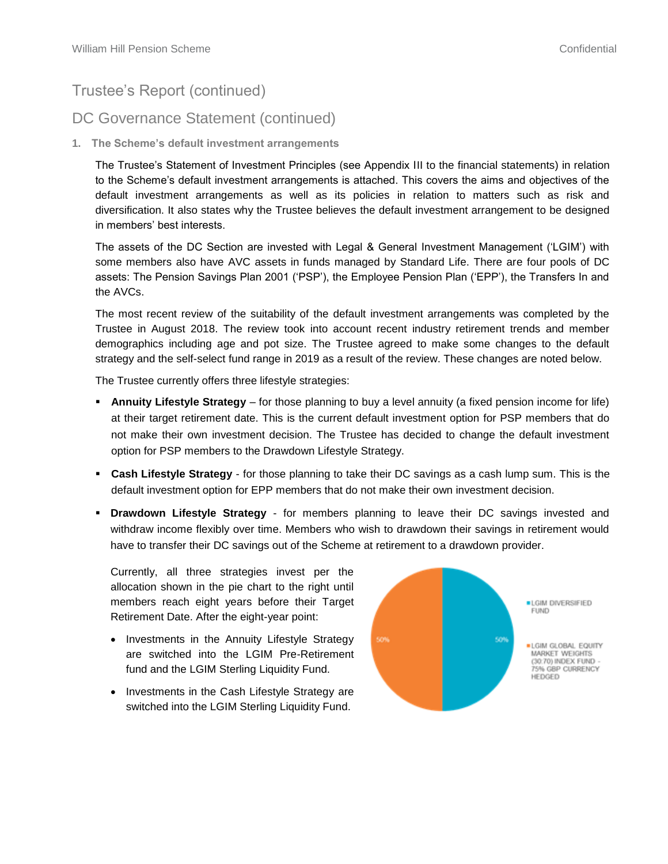## DC Governance Statement (continued)

**1. The Scheme's default investment arrangements**

The Trustee's Statement of Investment Principles (see Appendix III to the financial statements) in relation to the Scheme's default investment arrangements is attached. This covers the aims and objectives of the default investment arrangements as well as its policies in relation to matters such as risk and diversification. It also states why the Trustee believes the default investment arrangement to be designed in members' best interests.

The assets of the DC Section are invested with Legal & General Investment Management ('LGIM') with some members also have AVC assets in funds managed by Standard Life. There are four pools of DC assets: The Pension Savings Plan 2001 ('PSP'), the Employee Pension Plan ('EPP'), the Transfers In and the AVCs.

The most recent review of the suitability of the default investment arrangements was completed by the Trustee in August 2018. The review took into account recent industry retirement trends and member demographics including age and pot size. The Trustee agreed to make some changes to the default strategy and the self-select fund range in 2019 as a result of the review. These changes are noted below.

The Trustee currently offers three lifestyle strategies:

- **EXT** Annuity Lifestyle Strategy for those planning to buy a level annuity (a fixed pension income for life) at their target retirement date. This is the current default investment option for PSP members that do not make their own investment decision. The Trustee has decided to change the default investment option for PSP members to the Drawdown Lifestyle Strategy.
- **Example Strategy** for those planning to take their DC savings as a cash lump sum. This is the default investment option for EPP members that do not make their own investment decision.
- **Drawdown Lifestyle Strategy** for members planning to leave their DC savings invested and withdraw income flexibly over time. Members who wish to drawdown their savings in retirement would have to transfer their DC savings out of the Scheme at retirement to a drawdown provider.

Currently, all three strategies invest per the allocation shown in the pie chart to the right until members reach eight years before their Target Retirement Date. After the eight-year point:

- Investments in the Annuity Lifestyle Strategy are switched into the LGIM Pre-Retirement fund and the LGIM Sterling Liquidity Fund.
- Investments in the Cash Lifestyle Strategy are switched into the LGIM Sterling Liquidity Fund.

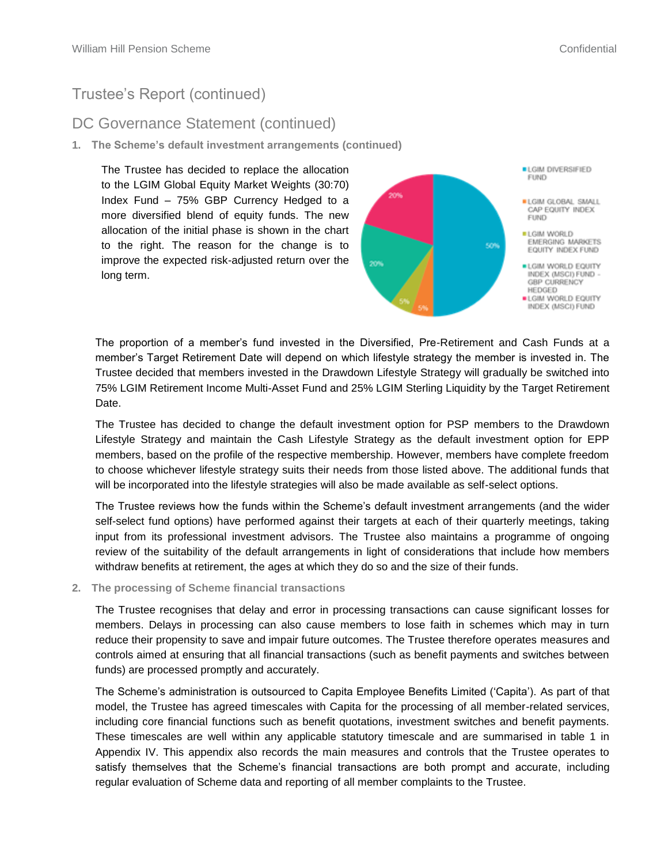### DC Governance Statement (continued)

**1. The Scheme's default investment arrangements (continued)**

The Trustee has decided to replace the allocation to the LGIM Global Equity Market Weights (30:70) Index Fund – 75% GBP Currency Hedged to a more diversified blend of equity funds. The new allocation of the initial phase is shown in the chart to the right. The reason for the change is to improve the expected risk-adjusted return over the long term.



The proportion of a member's fund invested in the Diversified, Pre-Retirement and Cash Funds at a member's Target Retirement Date will depend on which lifestyle strategy the member is invested in. The Trustee decided that members invested in the Drawdown Lifestyle Strategy will gradually be switched into 75% LGIM Retirement Income Multi-Asset Fund and 25% LGIM Sterling Liquidity by the Target Retirement Date.

The Trustee has decided to change the default investment option for PSP members to the Drawdown Lifestyle Strategy and maintain the Cash Lifestyle Strategy as the default investment option for EPP members, based on the profile of the respective membership. However, members have complete freedom to choose whichever lifestyle strategy suits their needs from those listed above. The additional funds that will be incorporated into the lifestyle strategies will also be made available as self-select options.

The Trustee reviews how the funds within the Scheme's default investment arrangements (and the wider self-select fund options) have performed against their targets at each of their quarterly meetings, taking input from its professional investment advisors. The Trustee also maintains a programme of ongoing review of the suitability of the default arrangements in light of considerations that include how members withdraw benefits at retirement, the ages at which they do so and the size of their funds.

**2. The processing of Scheme financial transactions**

The Trustee recognises that delay and error in processing transactions can cause significant losses for members. Delays in processing can also cause members to lose faith in schemes which may in turn reduce their propensity to save and impair future outcomes. The Trustee therefore operates measures and controls aimed at ensuring that all financial transactions (such as benefit payments and switches between funds) are processed promptly and accurately.

The Scheme's administration is outsourced to Capita Employee Benefits Limited ('Capita'). As part of that model, the Trustee has agreed timescales with Capita for the processing of all member-related services, including core financial functions such as benefit quotations, investment switches and benefit payments. These timescales are well within any applicable statutory timescale and are summarised in table 1 in Appendix IV. This appendix also records the main measures and controls that the Trustee operates to satisfy themselves that the Scheme's financial transactions are both prompt and accurate, including regular evaluation of Scheme data and reporting of all member complaints to the Trustee.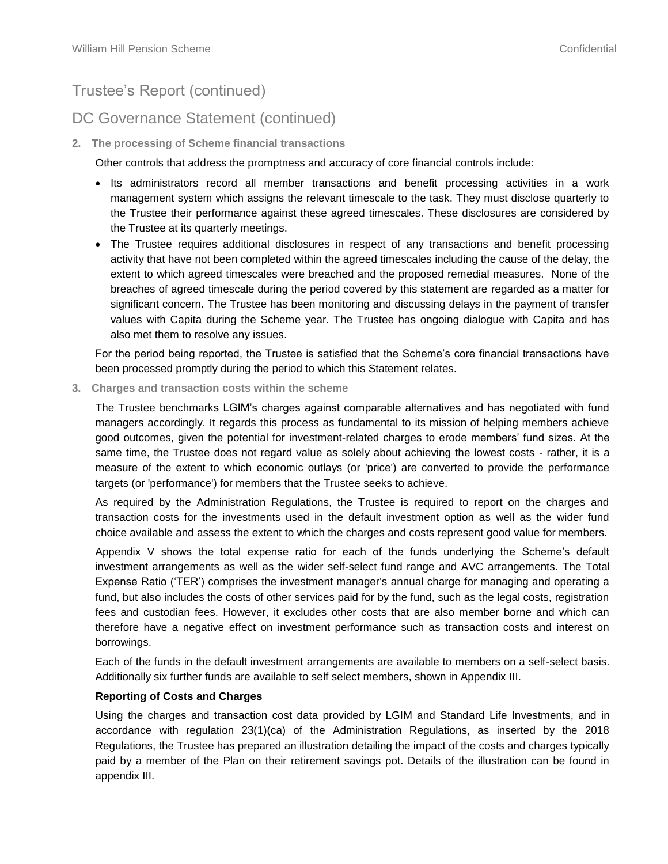### DC Governance Statement (continued)

**2. The processing of Scheme financial transactions**

Other controls that address the promptness and accuracy of core financial controls include:

- Its administrators record all member transactions and benefit processing activities in a work management system which assigns the relevant timescale to the task. They must disclose quarterly to the Trustee their performance against these agreed timescales. These disclosures are considered by the Trustee at its quarterly meetings.
- The Trustee requires additional disclosures in respect of any transactions and benefit processing activity that have not been completed within the agreed timescales including the cause of the delay, the extent to which agreed timescales were breached and the proposed remedial measures. None of the breaches of agreed timescale during the period covered by this statement are regarded as a matter for significant concern. The Trustee has been monitoring and discussing delays in the payment of transfer values with Capita during the Scheme year. The Trustee has ongoing dialogue with Capita and has also met them to resolve any issues.

For the period being reported, the Trustee is satisfied that the Scheme's core financial transactions have been processed promptly during the period to which this Statement relates.

**3. Charges and transaction costs within the scheme**

The Trustee benchmarks LGIM's charges against comparable alternatives and has negotiated with fund managers accordingly. It regards this process as fundamental to its mission of helping members achieve good outcomes, given the potential for investment-related charges to erode members' fund sizes. At the same time, the Trustee does not regard value as solely about achieving the lowest costs - rather, it is a measure of the extent to which economic outlays (or 'price') are converted to provide the performance targets (or 'performance') for members that the Trustee seeks to achieve.

As required by the Administration Regulations, the Trustee is required to report on the charges and transaction costs for the investments used in the default investment option as well as the wider fund choice available and assess the extent to which the charges and costs represent good value for members.

Appendix V shows the total expense ratio for each of the funds underlying the Scheme's default investment arrangements as well as the wider self-select fund range and AVC arrangements. The Total Expense Ratio ('TER') comprises the investment manager's annual charge for managing and operating a fund, but also includes the costs of other services paid for by the fund, such as the legal costs, registration fees and custodian fees. However, it excludes other costs that are also member borne and which can therefore have a negative effect on investment performance such as transaction costs and interest on borrowings.

Each of the funds in the default investment arrangements are available to members on a self-select basis. Additionally six further funds are available to self select members, shown in Appendix III.

#### **Reporting of Costs and Charges**

Using the charges and transaction cost data provided by LGIM and Standard Life Investments, and in accordance with regulation 23(1)(ca) of the Administration Regulations, as inserted by the 2018 Regulations, the Trustee has prepared an illustration detailing the impact of the costs and charges typically paid by a member of the Plan on their retirement savings pot. Details of the illustration can be found in appendix III.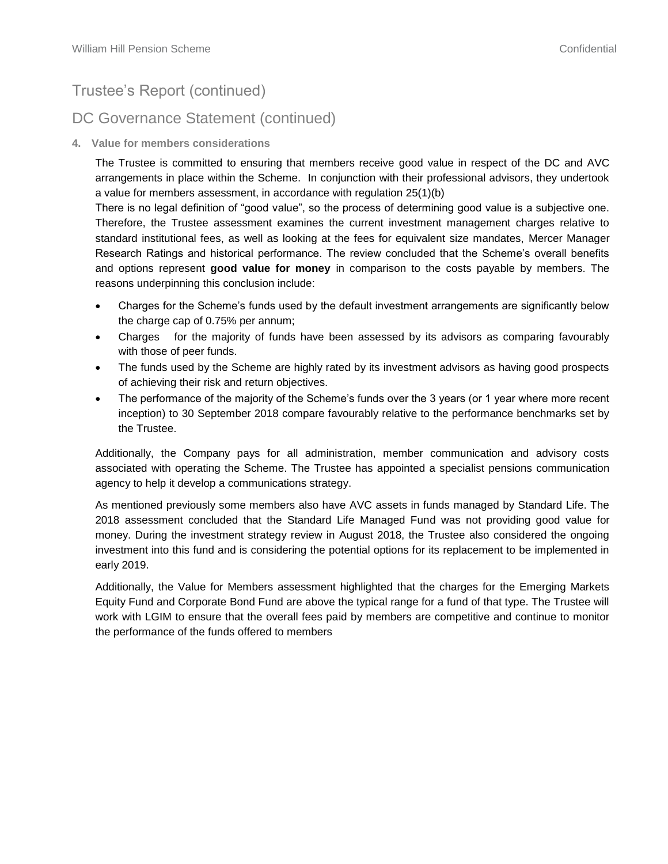## DC Governance Statement (continued)

**4. Value for members considerations**

The Trustee is committed to ensuring that members receive good value in respect of the DC and AVC arrangements in place within the Scheme. In conjunction with their professional advisors, they undertook a value for members assessment, in accordance with regulation 25(1)(b)

There is no legal definition of "good value", so the process of determining good value is a subjective one. Therefore, the Trustee assessment examines the current investment management charges relative to standard institutional fees, as well as looking at the fees for equivalent size mandates, Mercer Manager Research Ratings and historical performance. The review concluded that the Scheme's overall benefits and options represent **good value for money** in comparison to the costs payable by members. The reasons underpinning this conclusion include:

- Charges for the Scheme's funds used by the default investment arrangements are significantly below the charge cap of 0.75% per annum;
- Charges for the majority of funds have been assessed by its advisors as comparing favourably with those of peer funds.
- The funds used by the Scheme are highly rated by its investment advisors as having good prospects of achieving their risk and return objectives.
- The performance of the majority of the Scheme's funds over the 3 years (or 1 year where more recent inception) to 30 September 2018 compare favourably relative to the performance benchmarks set by the Trustee.

Additionally, the Company pays for all administration, member communication and advisory costs associated with operating the Scheme. The Trustee has appointed a specialist pensions communication agency to help it develop a communications strategy.

As mentioned previously some members also have AVC assets in funds managed by Standard Life. The 2018 assessment concluded that the Standard Life Managed Fund was not providing good value for money. During the investment strategy review in August 2018, the Trustee also considered the ongoing investment into this fund and is considering the potential options for its replacement to be implemented in early 2019.

Additionally, the Value for Members assessment highlighted that the charges for the Emerging Markets Equity Fund and Corporate Bond Fund are above the typical range for a fund of that type. The Trustee will work with LGIM to ensure that the overall fees paid by members are competitive and continue to monitor the performance of the funds offered to members